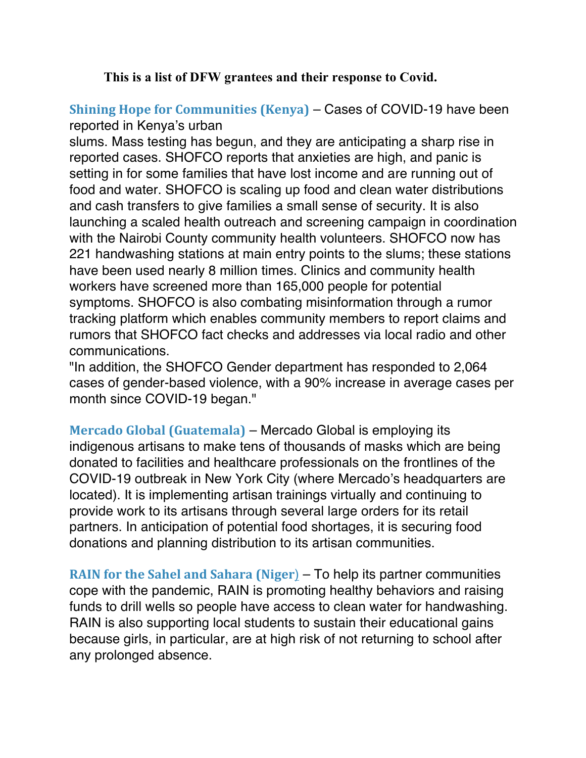## **This is a list of DFW grantees and their response to Covid.**

## **Shining Hope for Communities (Kenya)** – Cases of COVID-19 have been reported in Kenya's urban

slums. Mass testing has begun, and they are anticipating a sharp rise in reported cases. SHOFCO reports that anxieties are high, and panic is setting in for some families that have lost income and are running out of food and water. SHOFCO is scaling up food and clean water distributions and cash transfers to give families a small sense of security. It is also launching a scaled health outreach and screening campaign in coordination with the Nairobi County community health volunteers. SHOFCO now has 221 handwashing stations at main entry points to the slums; these stations have been used nearly 8 million times. Clinics and community health workers have screened more than 165,000 people for potential symptoms. SHOFCO is also combating misinformation through a rumor tracking platform which enables community members to report claims and rumors that SHOFCO fact checks and addresses via local radio and other communications.

"In addition, the SHOFCO Gender department has responded to 2,064 cases of gender-based violence, with a 90% increase in average cases per month since COVID-19 began."

**Mercado Global (Guatemala)** – Mercado Global is employing its indigenous artisans to make tens of thousands of masks which are being donated to facilities and healthcare professionals on the frontlines of the COVID-19 outbreak in New York City (where Mercado's headquarters are located). It is implementing artisan trainings virtually and continuing to provide work to its artisans through several large orders for its retail partners. In anticipation of potential food shortages, it is securing food donations and planning distribution to its artisan communities.

**RAIN for the Sahel and Sahara (Niger**) – To help its partner communities cope with the pandemic, RAIN is promoting healthy behaviors and raising funds to drill wells so people have access to clean water for handwashing. RAIN is also supporting local students to sustain their educational gains because girls, in particular, are at high risk of not returning to school after any prolonged absence.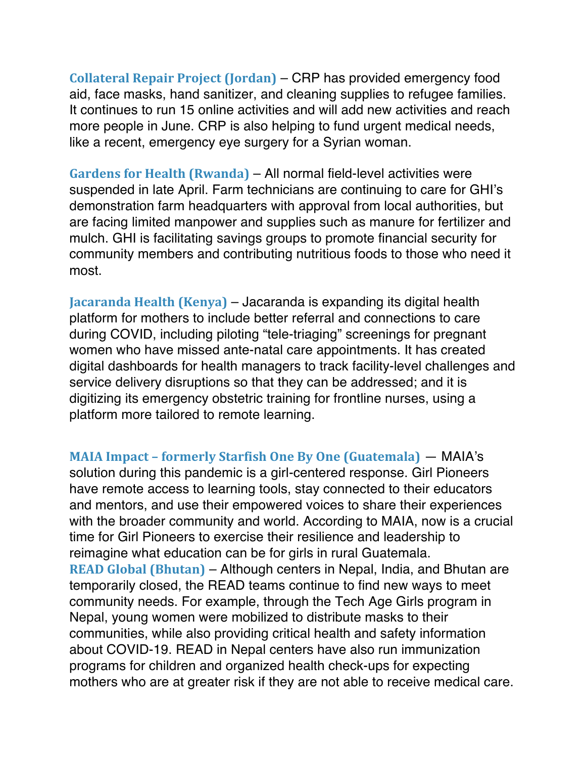**Collateral Repair Project (Jordan)** – CRP has provided emergency food aid, face masks, hand sanitizer, and cleaning supplies to refugee families. It continues to run 15 online activities and will add new activities and reach more people in June. CRP is also helping to fund urgent medical needs, like a recent, emergency eye surgery for a Syrian woman.

**Gardens for Health (Rwanda)** – All normal field-level activities were suspended in late April. Farm technicians are continuing to care for GHI's demonstration farm headquarters with approval from local authorities, but are facing limited manpower and supplies such as manure for fertilizer and mulch. GHI is facilitating savings groups to promote financial security for community members and contributing nutritious foods to those who need it most.

**Jacaranda Health (Kenya)** – Jacaranda is expanding its digital health platform for mothers to include better referral and connections to care during COVID, including piloting "tele-triaging" screenings for pregnant women who have missed ante-natal care appointments. It has created digital dashboards for health managers to track facility-level challenges and service delivery disruptions so that they can be addressed; and it is digitizing its emergency obstetric training for frontline nurses, using a platform more tailored to remote learning.

**MAIA Impact – formerly Starfish One By One (Guatemala)** — MAIA's solution during this pandemic is a girl-centered response. Girl Pioneers have remote access to learning tools, stay connected to their educators and mentors, and use their empowered voices to share their experiences with the broader community and world. According to MAIA, now is a crucial time for Girl Pioneers to exercise their resilience and leadership to reimagine what education can be for girls in rural Guatemala. **READ Global (Bhutan)** – Although centers in Nepal, India, and Bhutan are temporarily closed, the READ teams continue to find new ways to meet community needs. For example, through the Tech Age Girls program in Nepal, young women were mobilized to distribute masks to their communities, while also providing critical health and safety information about COVID-19. READ in Nepal centers have also run immunization programs for children and organized health check-ups for expecting mothers who are at greater risk if they are not able to receive medical care.